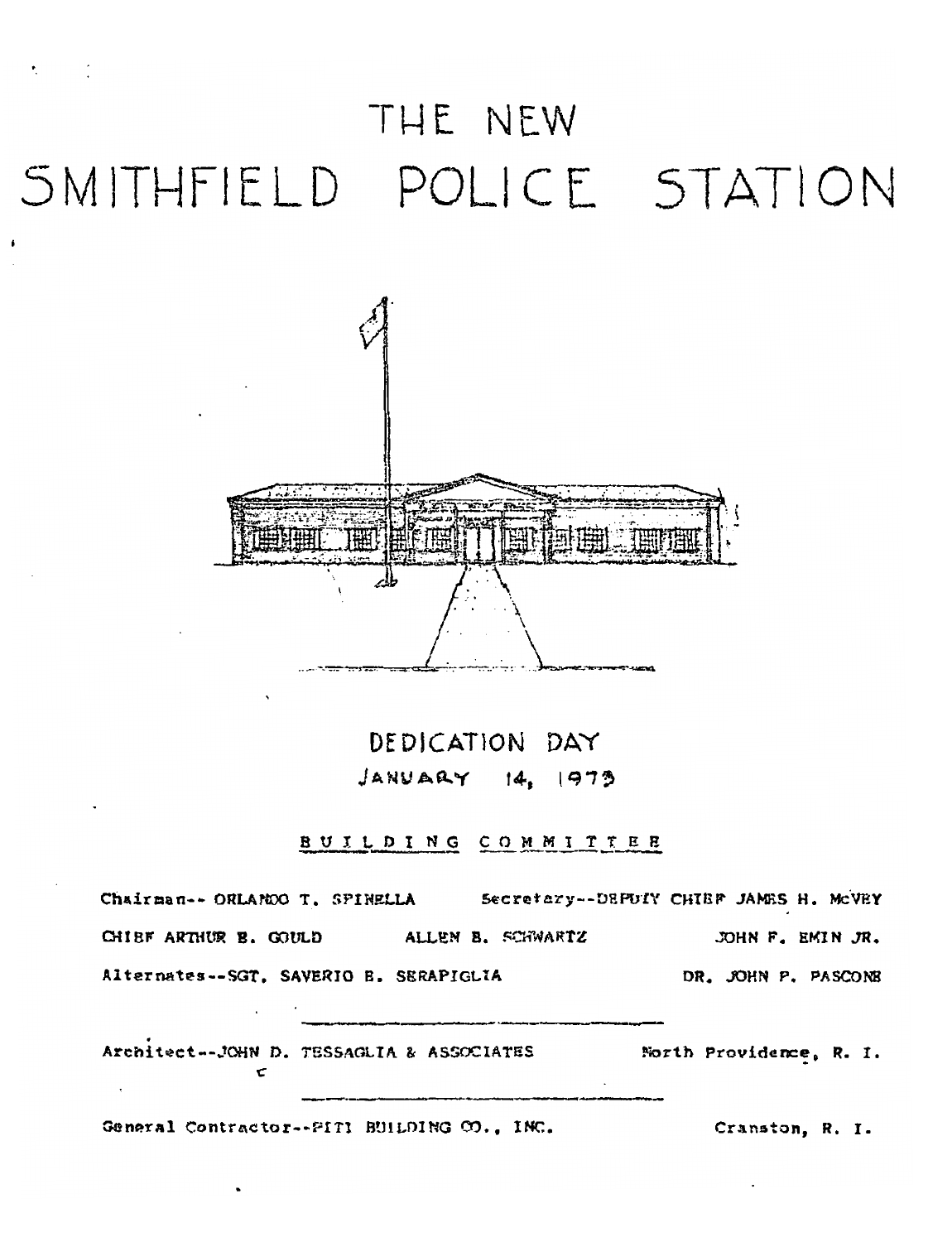## THE NEW SMITHFIELD POLICE STATION



DEDICATION DAY  $JANUARY$   $14, 1973$ 

## BUILDING COMMITTEE

Chairman-- ORLANDO T. SPINELLA Secretary--DEPUTY CHIEF JAMES H. McVEY CHIBF ARTHUR B. GOULD ALLEN B. SCHWARTZ JOHN F. EMIN JR. Alternates--SGT, SAVERIO B. SERAPIGLIA DR. JOHN P. PASCONE

Architect--JOHN D. TESSAGLIA & ASSOCIATES North Providence, R. I.

General Contractor--PITI BUILDING CO., INC.

Cranston, R. I.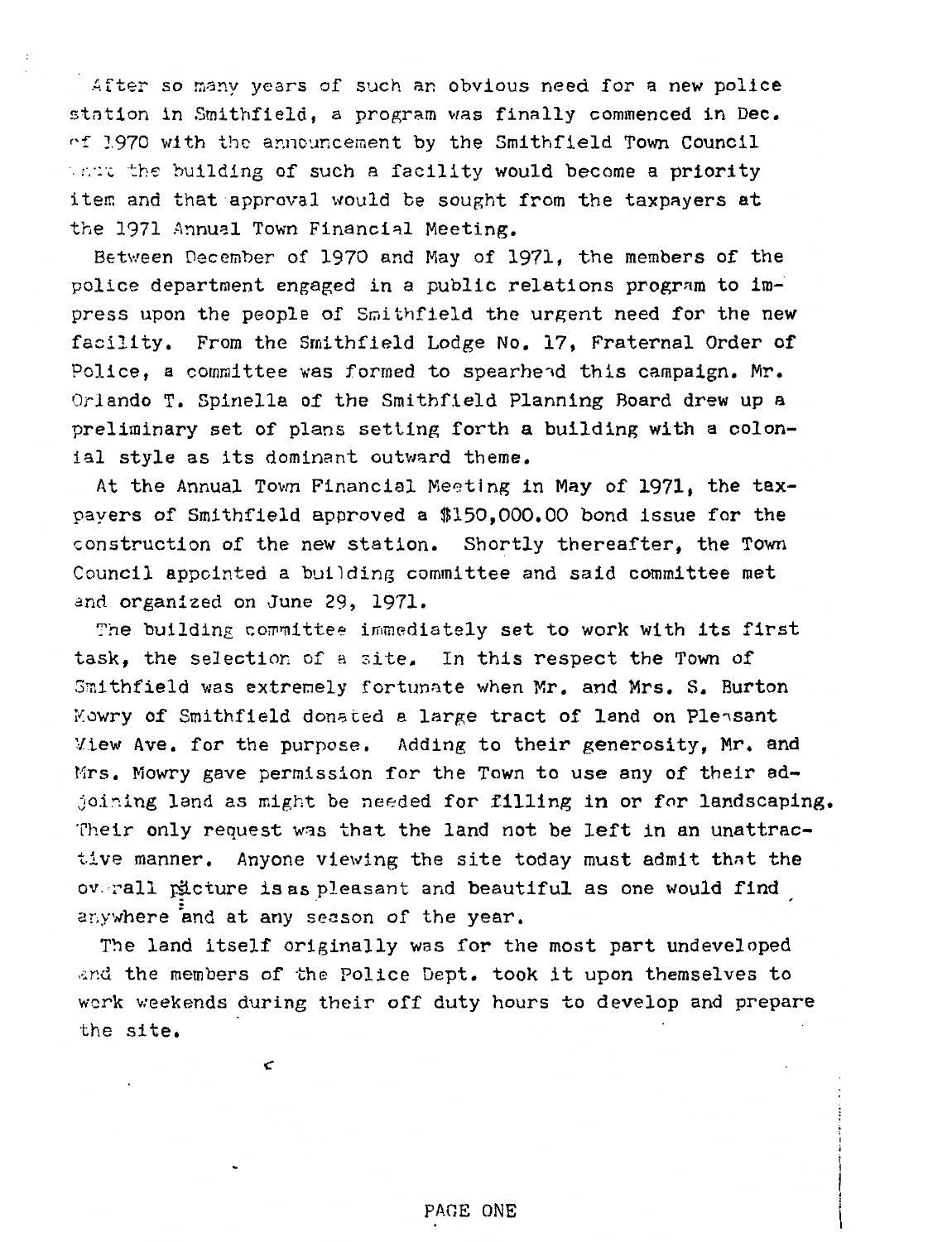After so many years of such an obvious need for a new police station in Smithfield, a program was finally commenced in Dec  $cf$  1970 with the announcement by the Smithfield Town Council which the building of such a facility would become a priority item and that approval would be sought from the taxpayers at the 1971 Annual Town Financial Meeting.

Between December of 1970 and May of i97l, the members of the police department engaged in a public relations program to im press upon the people of Smithfield the urgent need for the new facility. From the Smithfield Lodge No. 17, Fraternal Order of Police, a committee was formed to spearhead this campaign. Mr. Orlando T. Spinella of the Smithfield Planning Board drew up a preliminary set of plans setting forth a building with a colon ial style as its dominant outward theme.

At the Annual Town Financial Meeting in May of 1971, the tax payers of Smithfield approved a \$150,000.00 bond issue for the construction of the new station. Shortly thereafter, the Town Council appointed a building committee and said committee met<br>and organized on June 29, 1971.

The building committee immediately set to work with its first task, the selection of a site. In this respect the Town of Smithfield was extremely fortunate when Mr. and Mrs. S. Burton Mowry of Smithfield donated a large tract of land on Pleasant View Ave. for the purpose. Adding to their generosity, Mr. and Mrs. Mowry gave permission for the Town to use any of their adjoining land as might be needed for filling in or for landscaping, Their only request was that the land not be left in an unattractive manner. Anyone viewing the site today must admit that the overall picture is as pleasant and beautiful as one would find anywhere and at any season of the year.

The land itself originally was for the most part undeveloped and the members of the Police Dept. took it upon themselves to work weekends during their off duty hours to develop and prepare the site.

C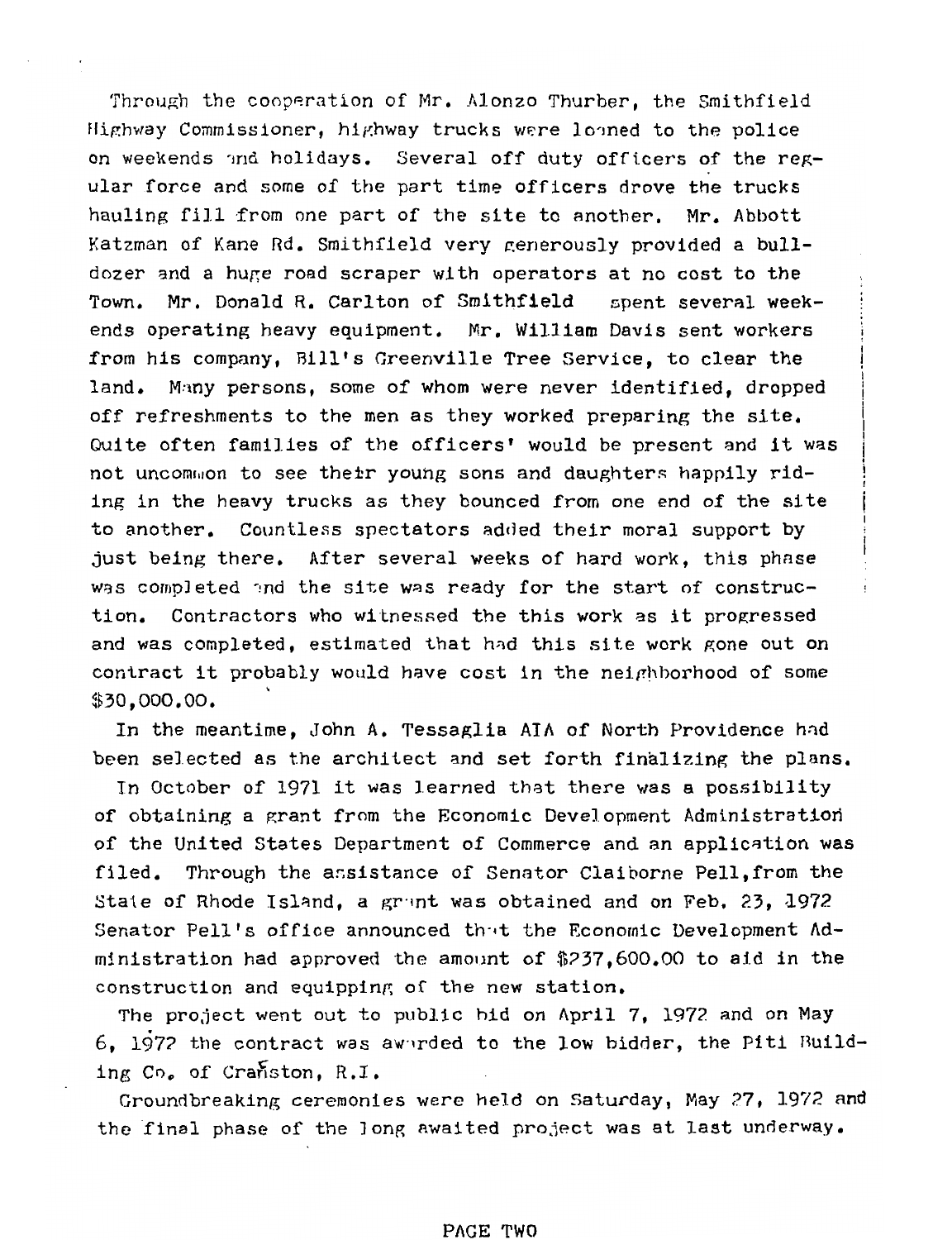Through the cooperation of Mr. Alonzo Thurber, the Smithfield Highway Commissioner, highway trucks were loaned to the police on weekends and holidays. Several off duty officers of the regular force and some of the part time officers drove the trucks hauling fill from one part of the site to another. Mr. Abbott Katzman of Kane Rd. Smithfield very generously provided a bulldozer and a huge road scraper with operators at no cost to the Town. Mr. Donald R. Carlton of Smithfield spent several weekends operating heavy equipment. Mr. William Davis sent workers from his company, Bill's Greenville Tree Service, to clear the land. Many persons, some of whom were never identified, dropped off refreshments to the men as they worked preparing the site. Quite often families of the officers' would be present and it was not uncommon to see their young sons and daughters happily riding in the heavy trucks as they bounced from one end of the site to another. Countless spectators added their moral support by just being there. After several weeks of hard work, this phase was completed and the site was ready for the start of construction. Contractors who witnessed the this work as it progressed and was completed, estimated that had this site work gone out on contract it probably would have cost in the neighborhood of some \$30,000.00.

In the meantime, John A. Tessaglia AIA of North Providence hnd been selected as the architect and set forth finalizing the plans.

In October of 1971 it was learned that there was a possibility of obtaining a grant from the Economic Development Administration of the United States Department of Commerce and an application was filed. Through the assistance of Senator Claiborne Pell,from the Stale of Rhode Island, a grant was obtained and on Feb. 23,  $1972$ Senator Pell's office announced that the Economic Development  $Ad$ ministration had approved the amount of \$?37,600.00 to aid in the construction and equipping of the new station.

The project went out to public bid on April 7, 1972 and on May 6, 1972 the contract was awarded to the low bidder, the Piti Building Co. of Cranston, R.I.

Groundbreaking ceremonies were held on Saturday, May 27, 1972 and the final phase of the Jong awaited project was at last underway.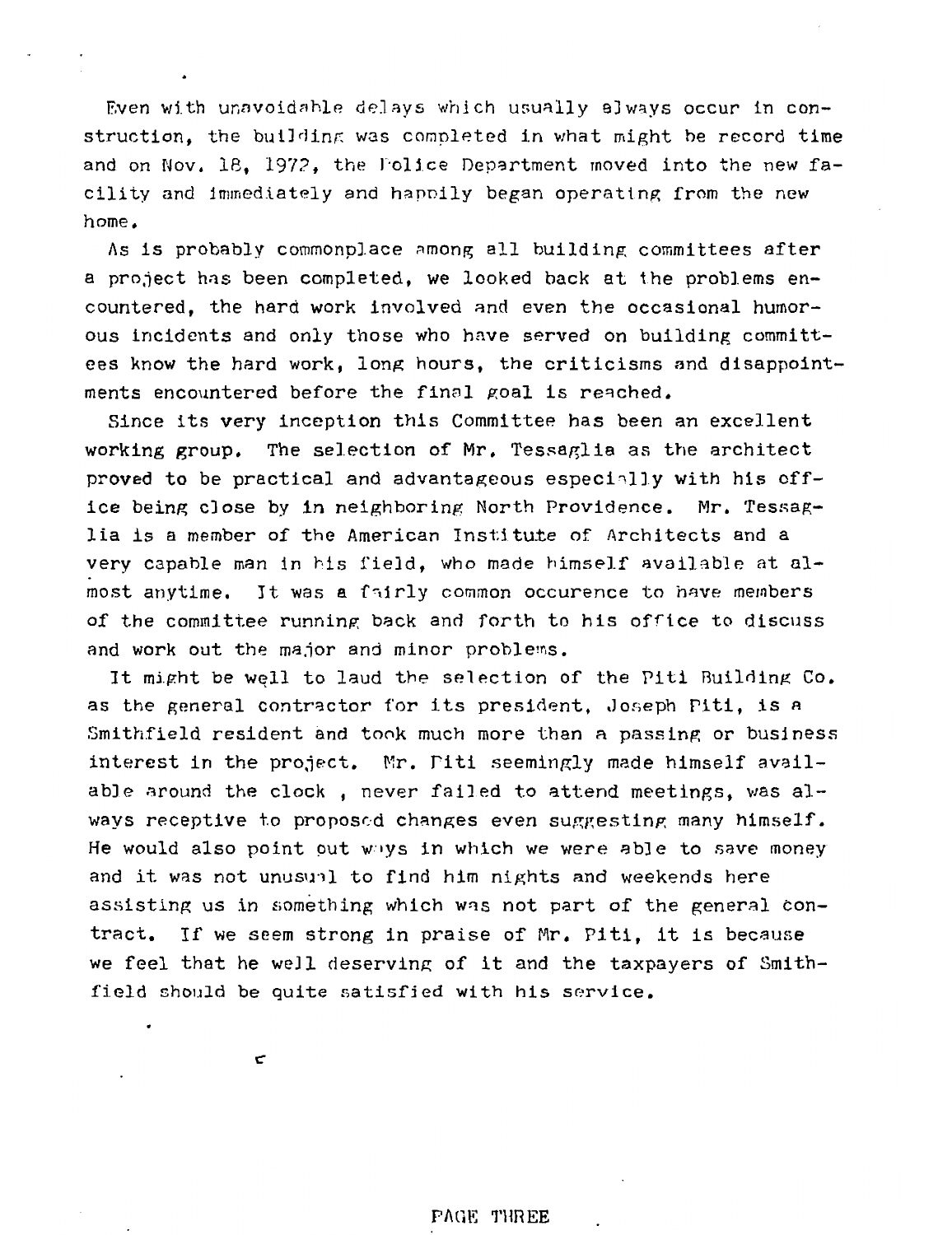Even with unavoidable delays which usually always occur in con struction, the building was completed in what might be record time and on Nov. 18. 1972. the Folice Department moved into the new facility and immediately and hapnily began operating from the new home.

As is probably commonplace among all building committees after a project has been completed, we looked back at the problems en countered, the hard work involved and even the occasional humor ous incidents and only those who have served on building committ ees know the hard work, long hours, the criticisms and disappoint ments encountered before the final goal is reached.

Since its very inception this Committee has been an excellent working group. The selection of Mr. Tessaglia as the architect proved to be practical and advantageous especially with his off ice being close by in neighboring North Providence. Mr. Tessaglia is a member of the American Institute of Architects and a very capable man in his field, who made himself available at almost anytime. It was a fnirly common occurence to have members of the committee running back and forth to his office to discuss and work out the major and minor problems.

It might be well to laud the selection of the Piti Building Co. as the general contractor for its president, Joseph Piti, is a Smithfield resident and took much more than a passing or business interest in the project. Mr. Piti seemingly made himself available around the clock, never failed to attend meetings, was always receptive to proposed changes even suggesting many himself. He would also point put w »ys in which we were able to save money and it was not unusuil to find him nights and weekends here assisting us in something which was not part of the general con tract. If we seem strong in praise of Mr. Piti, it is because we feel that he well deserving of it and the taxpayers of Smithfield should be quite satisfied with his service.

C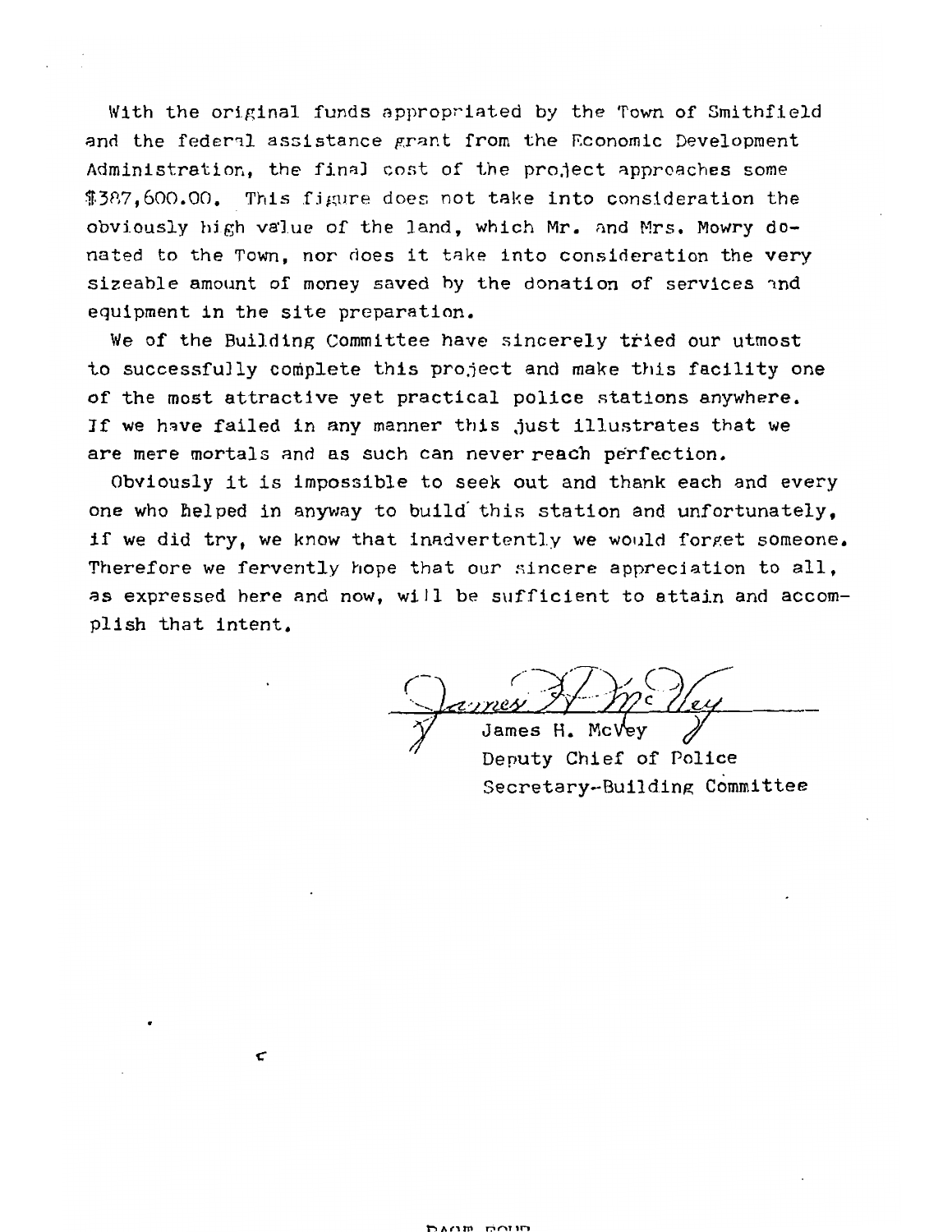With the original funds appropriated by the Town of Smithfield and the fedenl assistance prant from the Economic Development Administration, the fina] cost of the project approaches some \$387,600.00. This figure does not take into consideration the obviously high value of the land, which Mr. and Mrs. Mowry do nated to the Town, nor does it take into consideration the very sizeable amount of money saved by the donation of services nnd equipment in the site preparation.

We of the Building Committee have sincerely tried our utmost to successfully complete this project and make this facility one of the most attractive yet practical police stations anywhere. If we have failed in any manner this just illustrates that we are mere mortals and as such can never reach perfection.

Obviously it is impossible to seek out and thank each and every one who helped in anyway to build this station and unfortunately, if we did try, we know that inadvertently we would forget someone. Therefore we fervently hope that our sincere appreciation to all, as expressed here and now, will be sufficient to attain and accom plish that intent.

H. McVev Deputy Chief of Police Secretary-Building; Committee

**C**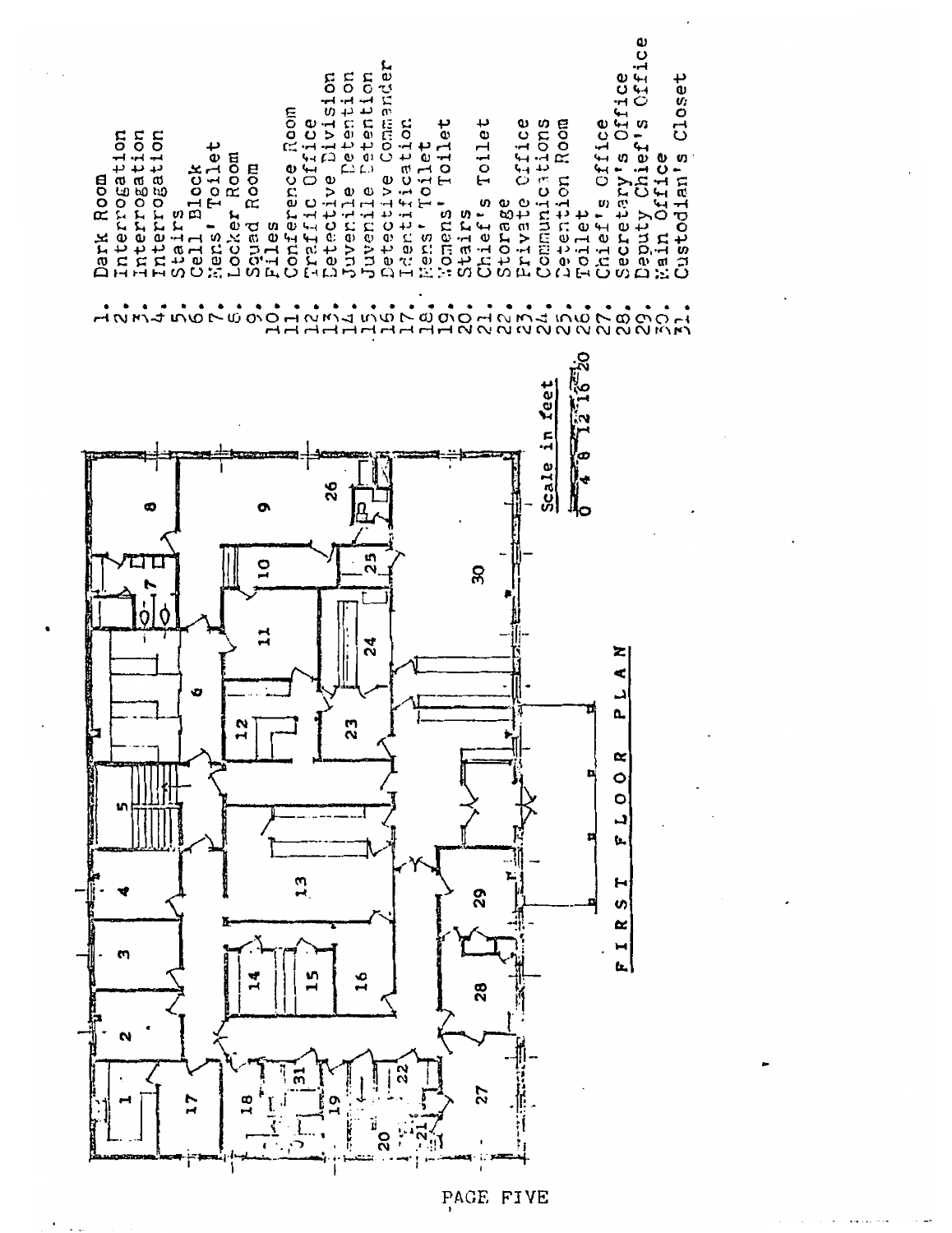

PAGE FIVE